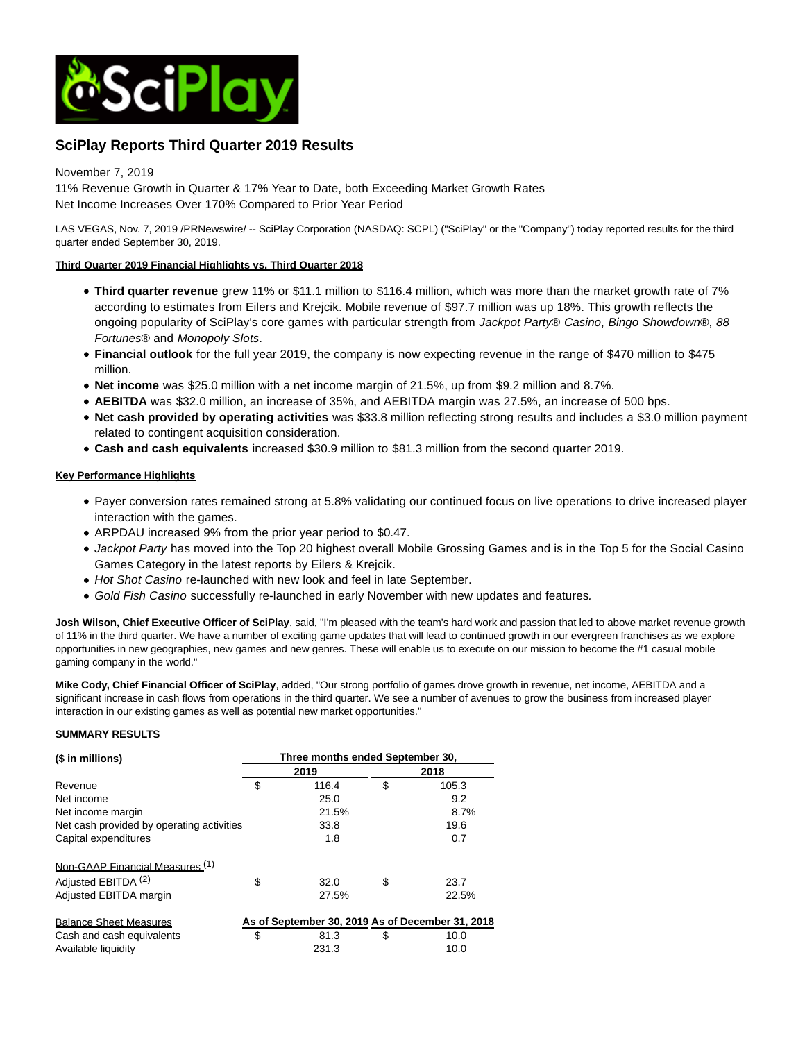

# **SciPlay Reports Third Quarter 2019 Results**

# November 7, 2019

11% Revenue Growth in Quarter & 17% Year to Date, both Exceeding Market Growth Rates Net Income Increases Over 170% Compared to Prior Year Period

LAS VEGAS, Nov. 7, 2019 /PRNewswire/ -- SciPlay Corporation (NASDAQ: SCPL) ("SciPlay" or the "Company") today reported results for the third quarter ended September 30, 2019.

# **Third Quarter 2019 Financial Highlights vs. Third Quarter 2018**

- **Third quarter revenue** grew 11% or \$11.1 million to \$116.4 million, which was more than the market growth rate of 7% according to estimates from Eilers and Krejcik. Mobile revenue of \$97.7 million was up 18%. This growth reflects the ongoing popularity of SciPlay's core games with particular strength from Jackpot Party® Casino, Bingo Showdown®, 88 Fortunes® and Monopoly Slots.
- **Financial outlook** for the full year 2019, the company is now expecting revenue in the range of \$470 million to \$475 million.
- **Net income** was \$25.0 million with a net income margin of 21.5%, up from \$9.2 million and 8.7%.
- **AEBITDA** was \$32.0 million, an increase of 35%, and AEBITDA margin was 27.5%, an increase of 500 bps.
- **Net cash provided by operating activities** was \$33.8 million reflecting strong results and includes a \$3.0 million payment related to contingent acquisition consideration.
- **Cash and cash equivalents** increased \$30.9 million to \$81.3 million from the second quarter 2019.

# **Key Performance Highlights**

- Payer conversion rates remained strong at 5.8% validating our continued focus on live operations to drive increased player interaction with the games.
- ARPDAU increased 9% from the prior year period to \$0.47.
- Jackpot Party has moved into the Top 20 highest overall Mobile Grossing Games and is in the Top 5 for the Social Casino Games Category in the latest reports by Eilers & Krejcik.
- Hot Shot Casino re-launched with new look and feel in late September.
- Gold Fish Casino successfully re-launched in early November with new updates and features.

**Josh Wilson, Chief Executive Officer of SciPlay**, said, "I'm pleased with the team's hard work and passion that led to above market revenue growth of 11% in the third quarter. We have a number of exciting game updates that will lead to continued growth in our evergreen franchises as we explore opportunities in new geographies, new games and new genres. These will enable us to execute on our mission to become the #1 casual mobile gaming company in the world."

**Mike Cody, Chief Financial Officer of SciPlay**, added, "Our strong portfolio of games drove growth in revenue, net income, AEBITDA and a significant increase in cash flows from operations in the third quarter. We see a number of avenues to grow the business from increased player interaction in our existing games as well as potential new market opportunities."

## **SUMMARY RESULTS**

| (\$ in millions)                          | Three months ended September 30, |                                                  |      |       |  |  |  |  |
|-------------------------------------------|----------------------------------|--------------------------------------------------|------|-------|--|--|--|--|
|                                           |                                  | 2019                                             | 2018 |       |  |  |  |  |
| Revenue                                   | \$                               | 116.4                                            | \$   | 105.3 |  |  |  |  |
| Net income                                |                                  | 25.0                                             |      | 9.2   |  |  |  |  |
| Net income margin                         |                                  | 21.5%                                            |      | 8.7%  |  |  |  |  |
| Net cash provided by operating activities |                                  | 33.8                                             |      | 19.6  |  |  |  |  |
| Capital expenditures                      |                                  | 1.8                                              |      | 0.7   |  |  |  |  |
| Non-GAAP Financial Measures (1)           |                                  |                                                  |      |       |  |  |  |  |
| Adjusted EBITDA <sup>(2)</sup>            | \$                               | 32.0                                             | \$   | 23.7  |  |  |  |  |
| Adjusted EBITDA margin                    |                                  | 27.5%                                            |      | 22.5% |  |  |  |  |
| <b>Balance Sheet Measures</b>             |                                  | As of September 30, 2019 As of December 31, 2018 |      |       |  |  |  |  |
| Cash and cash equivalents                 | \$                               | 81.3                                             | S    | 10.0  |  |  |  |  |
| Available liquidity                       |                                  | 231.3                                            |      | 10.0  |  |  |  |  |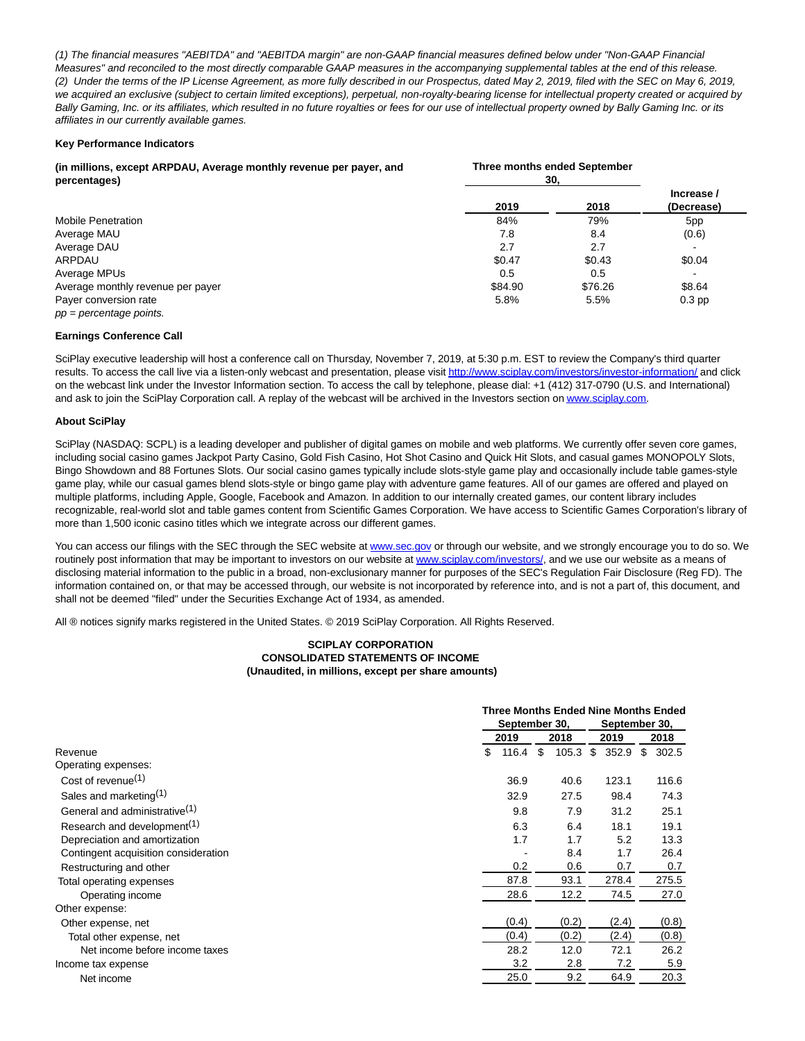(1) The financial measures "AEBITDA" and "AEBITDA margin" are non-GAAP financial measures defined below under "Non-GAAP Financial Measures" and reconciled to the most directly comparable GAAP measures in the accompanying supplemental tables at the end of this release. (2) Under the terms of the IP License Agreement, as more fully described in our Prospectus, dated May 2, 2019, filed with the SEC on May 6, 2019, we acquired an exclusive (subject to certain limited exceptions), perpetual, non-royalty-bearing license for intellectual property created or acquired by Bally Gaming, Inc. or its affiliates, which resulted in no future royalties or fees for our use of intellectual property owned by Bally Gaming Inc. or its affiliates in our currently available games.

## **Key Performance Indicators**

| (in millions, except ARPDAU, Average monthly revenue per payer, and<br>percentages) | Three months ended September<br>30. |         |                          |
|-------------------------------------------------------------------------------------|-------------------------------------|---------|--------------------------|
|                                                                                     | 2019                                | 2018    | Increase /<br>(Decrease) |
| <b>Mobile Penetration</b>                                                           | 84%                                 | 79%     | 5pp                      |
| Average MAU                                                                         | 7.8                                 | 8.4     | (0.6)                    |
| Average DAU                                                                         | 2.7                                 | 2.7     |                          |
| ARPDAU                                                                              | \$0.47                              | \$0.43  | \$0.04                   |
| Average MPUs                                                                        | 0.5                                 | 0.5     |                          |
| Average monthly revenue per payer                                                   | \$84.90                             | \$76.26 | \$8.64                   |
| Payer conversion rate                                                               | 5.8%                                | 5.5%    | $0.3$ pp                 |
| $pp = percentage points$ .                                                          |                                     |         |                          |

#### **Earnings Conference Call**

SciPlay executive leadership will host a conference call on Thursday, November 7, 2019, at 5:30 p.m. EST to review the Company's third quarter results. To access the call live via a listen-only webcast and presentation, please visi[t http://www.sciplay.com/investors/investor-information/ a](https://c212.net/c/link/?t=0&l=en&o=2636398-1&h=833927674&u=http%3A%2F%2Fwww.sciplay.com%2Finvestors%2Finvestor-information%2F&a=http%3A%2F%2Fwww.sciplay.com%2Finvestors%2Finvestor-information%2F)nd click on the webcast link under the Investor Information section. To access the call by telephone, please dial: +1 (412) 317-0790 (U.S. and International) and ask to join the SciPlay Corporation call. A replay of the webcast will be archived in the Investors section o[n www.sciplay.com.](https://c212.net/c/link/?t=0&l=en&o=2636398-1&h=1687551393&u=http%3A%2F%2Fwww.sciplay.com%2F&a=www.sciplay.com)

#### **About SciPlay**

SciPlay (NASDAQ: SCPL) is a leading developer and publisher of digital games on mobile and web platforms. We currently offer seven core games, including social casino games Jackpot Party Casino, Gold Fish Casino, Hot Shot Casino and Quick Hit Slots, and casual games MONOPOLY Slots, Bingo Showdown and 88 Fortunes Slots. Our social casino games typically include slots-style game play and occasionally include table games-style game play, while our casual games blend slots-style or bingo game play with adventure game features. All of our games are offered and played on multiple platforms, including Apple, Google, Facebook and Amazon. In addition to our internally created games, our content library includes recognizable, real-world slot and table games content from Scientific Games Corporation. We have access to Scientific Games Corporation's library of more than 1,500 iconic casino titles which we integrate across our different games.

You can access our filings with the SEC through the SEC website at [www.sec.gov o](https://c212.net/c/link/?t=0&l=en&o=2636398-1&h=1173792983&u=http%3A%2F%2Fwww.sec.gov%2F&a=www.sec.gov)r through our website, and we strongly encourage you to do so. We routinely post information that may be important to investors on our website at [www.sciplay.com/investors/,](https://c212.net/c/link/?t=0&l=en&o=2636398-1&h=3106140124&u=http%3A%2F%2Fwww.sciplay.com%2Finvestors%2F&a=www.sciplay.com%2Finvestors%2F) and we use our website as a means of disclosing material information to the public in a broad, non-exclusionary manner for purposes of the SEC's Regulation Fair Disclosure (Reg FD). The information contained on, or that may be accessed through, our website is not incorporated by reference into, and is not a part of, this document, and shall not be deemed "filed" under the Securities Exchange Act of 1934, as amended.

All ® notices signify marks registered in the United States. © 2019 SciPlay Corporation. All Rights Reserved.

#### **SCIPLAY CORPORATION CONSOLIDATED STATEMENTS OF INCOME (Unaudited, in millions, except per share amounts)**

|                                           | <b>Three Months Ended Nine Months Ended</b> |       |      |       |    |               |    |       |  |
|-------------------------------------------|---------------------------------------------|-------|------|-------|----|---------------|----|-------|--|
|                                           | September 30,                               |       |      |       |    | September 30, |    |       |  |
|                                           | 2019                                        |       | 2018 |       |    | 2019          |    | 2018  |  |
| Revenue                                   | \$                                          | 116.4 | \$   | 105.3 | \$ | 352.9         | \$ | 302.5 |  |
| Operating expenses:                       |                                             |       |      |       |    |               |    |       |  |
| Cost of revenue <sup>(1)</sup>            |                                             | 36.9  |      | 40.6  |    | 123.1         |    | 116.6 |  |
| Sales and marketing <sup>(1)</sup>        |                                             | 32.9  |      | 27.5  |    | 98.4          |    | 74.3  |  |
| General and administrative <sup>(1)</sup> |                                             | 9.8   |      | 7.9   |    | 31.2          |    | 25.1  |  |
| Research and development <sup>(1)</sup>   |                                             | 6.3   |      | 6.4   |    | 18.1          |    | 19.1  |  |
| Depreciation and amortization             |                                             | 1.7   |      | 1.7   |    | 5.2           |    | 13.3  |  |
| Contingent acquisition consideration      |                                             |       |      | 8.4   |    | 1.7           |    | 26.4  |  |
| Restructuring and other                   |                                             | 0.2   |      | 0.6   |    | 0.7           |    | 0.7   |  |
| Total operating expenses                  |                                             | 87.8  |      | 93.1  |    | 278.4         |    | 275.5 |  |
| Operating income                          |                                             | 28.6  |      | 12.2  |    | 74.5          |    | 27.0  |  |
| Other expense:                            |                                             |       |      |       |    |               |    |       |  |
| Other expense, net                        |                                             | (0.4) |      | (0.2) |    | (2.4)         |    | (0.8) |  |
| Total other expense, net                  |                                             | (0.4) |      | (0.2) |    | (2.4)         |    | (0.8) |  |
| Net income before income taxes            |                                             | 28.2  |      | 12.0  |    | 72.1          |    | 26.2  |  |
| Income tax expense                        |                                             | 3.2   |      | 2.8   |    | 7.2           |    | 5.9   |  |
| Net income                                |                                             | 25.0  |      | 9.2   |    | 64.9          |    | 20.3  |  |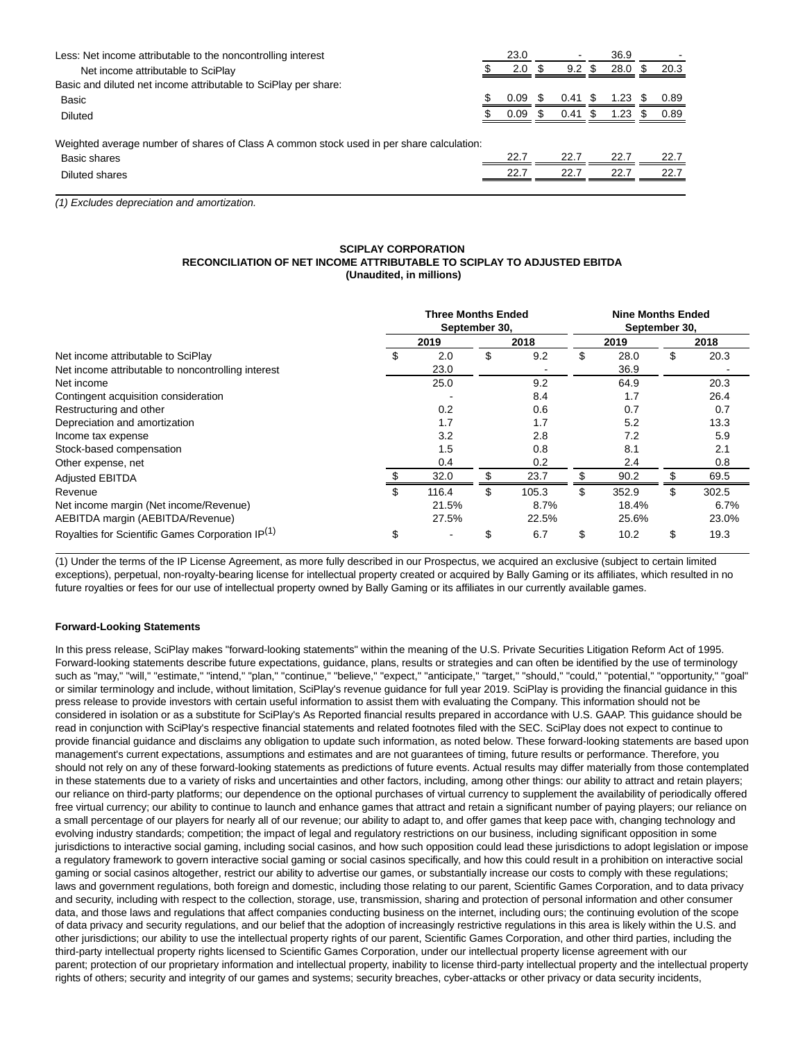| Less: Net income attributable to the noncontrolling interest                             | 23.0 |     |                     |     | 36.9              |    |      |
|------------------------------------------------------------------------------------------|------|-----|---------------------|-----|-------------------|----|------|
| Net income attributable to SciPlay                                                       | 2.0  |     | 9.2                 | \$. | 28.0 <sup>5</sup> |    | 20.3 |
| Basic and diluted net income attributable to SciPlay per share:                          |      |     |                     |     |                   |    |      |
| Basic                                                                                    | 0.09 | S.  | $0.41 \text{ \$\ }$ |     | 1.23              | S. | 0.89 |
| Diluted                                                                                  | 0.09 | \$. | 0.41                | -S  | 1.23              |    | 0.89 |
|                                                                                          |      |     |                     |     |                   |    |      |
| Weighted average number of shares of Class A common stock used in per share calculation: |      |     |                     |     |                   |    |      |
| Basic shares                                                                             | 22.7 |     | 22.7                |     | 22.7              |    | 22.7 |
| Diluted shares                                                                           | 22.7 |     | 22.7                |     | 22.7              |    | 22.7 |
|                                                                                          |      |     |                     |     |                   |    |      |

(1) Excludes depreciation and amortization.

# **SCIPLAY CORPORATION RECONCILIATION OF NET INCOME ATTRIBUTABLE TO SCIPLAY TO ADJUSTED EBITDA (Unaudited, in millions)**

|                                                    |    | <b>Three Months Ended</b><br>September 30, |    |       | <b>Nine Months Ended</b><br>September 30, |       |      |       |  |  |
|----------------------------------------------------|----|--------------------------------------------|----|-------|-------------------------------------------|-------|------|-------|--|--|
|                                                    |    | 2018                                       |    | 2019  |                                           |       | 2018 |       |  |  |
| Net income attributable to SciPlay                 | S  | 2.0                                        | \$ | 9.2   | \$                                        | 28.0  | \$   | 20.3  |  |  |
| Net income attributable to noncontrolling interest |    | 23.0                                       |    |       |                                           | 36.9  |      |       |  |  |
| Net income                                         |    | 25.0                                       |    | 9.2   |                                           | 64.9  |      | 20.3  |  |  |
| Contingent acquisition consideration               |    |                                            |    | 8.4   |                                           | 1.7   |      | 26.4  |  |  |
| Restructuring and other                            |    | 0.2                                        |    | 0.6   |                                           | 0.7   |      | 0.7   |  |  |
| Depreciation and amortization                      |    | 1.7                                        |    | 1.7   |                                           | 5.2   |      | 13.3  |  |  |
| Income tax expense                                 |    | 3.2                                        |    | 2.8   |                                           | 7.2   |      | 5.9   |  |  |
| Stock-based compensation                           |    | 1.5                                        |    | 0.8   |                                           | 8.1   |      | 2.1   |  |  |
| Other expense, net                                 |    | 0.4                                        |    | 0.2   |                                           | 2.4   |      | 0.8   |  |  |
| <b>Adjusted EBITDA</b>                             |    | 32.0                                       |    | 23.7  |                                           | 90.2  | \$   | 69.5  |  |  |
| Revenue                                            | \$ | 116.4                                      | \$ | 105.3 | \$                                        | 352.9 | \$   | 302.5 |  |  |
| Net income margin (Net income/Revenue)             |    | 21.5%                                      |    | 8.7%  |                                           | 18.4% |      | 6.7%  |  |  |
| AEBITDA margin (AEBITDA/Revenue)                   |    | 27.5%                                      |    | 22.5% |                                           | 25.6% |      | 23.0% |  |  |
| Royalties for Scientific Games Corporation IP(1)   | \$ | $\overline{\phantom{a}}$                   | \$ | 6.7   | \$                                        | 10.2  | \$   | 19.3  |  |  |

(1) Under the terms of the IP License Agreement, as more fully described in our Prospectus, we acquired an exclusive (subject to certain limited exceptions), perpetual, non-royalty-bearing license for intellectual property created or acquired by Bally Gaming or its affiliates, which resulted in no future royalties or fees for our use of intellectual property owned by Bally Gaming or its affiliates in our currently available games.

## **Forward-Looking Statements**

In this press release, SciPlay makes "forward-looking statements" within the meaning of the U.S. Private Securities Litigation Reform Act of 1995. Forward-looking statements describe future expectations, guidance, plans, results or strategies and can often be identified by the use of terminology such as "may," "will," "estimate," "intend," "plan," "continue," "believe," "expect," "anticipate," "target," "should," "could," "potential," "opportunity," "goal" or similar terminology and include, without limitation, SciPlay's revenue guidance for full year 2019. SciPlay is providing the financial guidance in this press release to provide investors with certain useful information to assist them with evaluating the Company. This information should not be considered in isolation or as a substitute for SciPlay's As Reported financial results prepared in accordance with U.S. GAAP. This guidance should be read in conjunction with SciPlay's respective financial statements and related footnotes filed with the SEC. SciPlay does not expect to continue to provide financial guidance and disclaims any obligation to update such information, as noted below. These forward-looking statements are based upon management's current expectations, assumptions and estimates and are not guarantees of timing, future results or performance. Therefore, you should not rely on any of these forward-looking statements as predictions of future events. Actual results may differ materially from those contemplated in these statements due to a variety of risks and uncertainties and other factors, including, among other things: our ability to attract and retain players; our reliance on third-party platforms; our dependence on the optional purchases of virtual currency to supplement the availability of periodically offered free virtual currency; our ability to continue to launch and enhance games that attract and retain a significant number of paying players; our reliance on a small percentage of our players for nearly all of our revenue; our ability to adapt to, and offer games that keep pace with, changing technology and evolving industry standards; competition; the impact of legal and regulatory restrictions on our business, including significant opposition in some jurisdictions to interactive social gaming, including social casinos, and how such opposition could lead these jurisdictions to adopt legislation or impose a regulatory framework to govern interactive social gaming or social casinos specifically, and how this could result in a prohibition on interactive social gaming or social casinos altogether, restrict our ability to advertise our games, or substantially increase our costs to comply with these regulations; laws and government regulations, both foreign and domestic, including those relating to our parent, Scientific Games Corporation, and to data privacy and security, including with respect to the collection, storage, use, transmission, sharing and protection of personal information and other consumer data, and those laws and regulations that affect companies conducting business on the internet, including ours; the continuing evolution of the scope of data privacy and security regulations, and our belief that the adoption of increasingly restrictive regulations in this area is likely within the U.S. and other jurisdictions; our ability to use the intellectual property rights of our parent, Scientific Games Corporation, and other third parties, including the third-party intellectual property rights licensed to Scientific Games Corporation, under our intellectual property license agreement with our parent; protection of our proprietary information and intellectual property, inability to license third-party intellectual property and the intellectual property rights of others; security and integrity of our games and systems; security breaches, cyber-attacks or other privacy or data security incidents,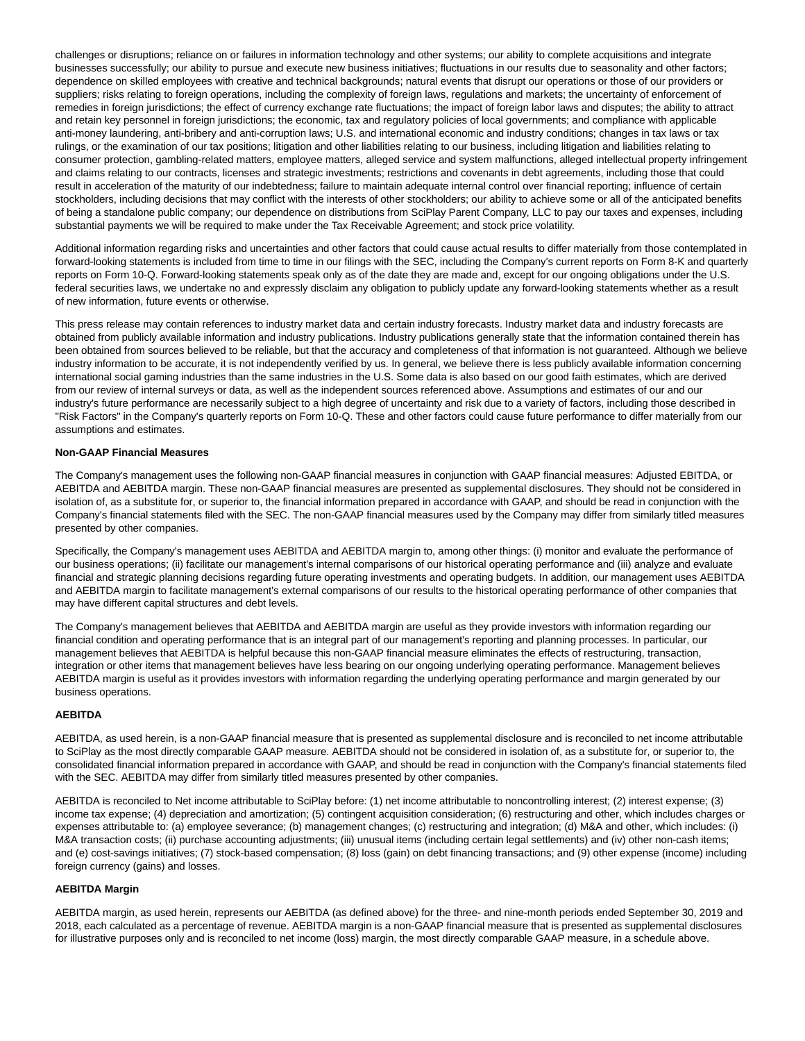challenges or disruptions; reliance on or failures in information technology and other systems; our ability to complete acquisitions and integrate businesses successfully; our ability to pursue and execute new business initiatives; fluctuations in our results due to seasonality and other factors; dependence on skilled employees with creative and technical backgrounds; natural events that disrupt our operations or those of our providers or suppliers; risks relating to foreign operations, including the complexity of foreign laws, regulations and markets; the uncertainty of enforcement of remedies in foreign jurisdictions; the effect of currency exchange rate fluctuations; the impact of foreign labor laws and disputes; the ability to attract and retain key personnel in foreign jurisdictions; the economic, tax and regulatory policies of local governments; and compliance with applicable anti-money laundering, anti-bribery and anti-corruption laws; U.S. and international economic and industry conditions; changes in tax laws or tax rulings, or the examination of our tax positions; litigation and other liabilities relating to our business, including litigation and liabilities relating to consumer protection, gambling-related matters, employee matters, alleged service and system malfunctions, alleged intellectual property infringement and claims relating to our contracts, licenses and strategic investments; restrictions and covenants in debt agreements, including those that could result in acceleration of the maturity of our indebtedness; failure to maintain adequate internal control over financial reporting; influence of certain stockholders, including decisions that may conflict with the interests of other stockholders; our ability to achieve some or all of the anticipated benefits of being a standalone public company; our dependence on distributions from SciPlay Parent Company, LLC to pay our taxes and expenses, including substantial payments we will be required to make under the Tax Receivable Agreement; and stock price volatility.

Additional information regarding risks and uncertainties and other factors that could cause actual results to differ materially from those contemplated in forward-looking statements is included from time to time in our filings with the SEC, including the Company's current reports on Form 8-K and quarterly reports on Form 10-Q. Forward-looking statements speak only as of the date they are made and, except for our ongoing obligations under the U.S. federal securities laws, we undertake no and expressly disclaim any obligation to publicly update any forward-looking statements whether as a result of new information, future events or otherwise.

This press release may contain references to industry market data and certain industry forecasts. Industry market data and industry forecasts are obtained from publicly available information and industry publications. Industry publications generally state that the information contained therein has been obtained from sources believed to be reliable, but that the accuracy and completeness of that information is not guaranteed. Although we believe industry information to be accurate, it is not independently verified by us. In general, we believe there is less publicly available information concerning international social gaming industries than the same industries in the U.S. Some data is also based on our good faith estimates, which are derived from our review of internal surveys or data, as well as the independent sources referenced above. Assumptions and estimates of our and our industry's future performance are necessarily subject to a high degree of uncertainty and risk due to a variety of factors, including those described in "Risk Factors" in the Company's quarterly reports on Form 10-Q. These and other factors could cause future performance to differ materially from our assumptions and estimates.

#### **Non-GAAP Financial Measures**

The Company's management uses the following non-GAAP financial measures in conjunction with GAAP financial measures: Adjusted EBITDA, or AEBITDA and AEBITDA margin. These non-GAAP financial measures are presented as supplemental disclosures. They should not be considered in isolation of, as a substitute for, or superior to, the financial information prepared in accordance with GAAP, and should be read in conjunction with the Company's financial statements filed with the SEC. The non-GAAP financial measures used by the Company may differ from similarly titled measures presented by other companies.

Specifically, the Company's management uses AEBITDA and AEBITDA margin to, among other things: (i) monitor and evaluate the performance of our business operations; (ii) facilitate our management's internal comparisons of our historical operating performance and (iii) analyze and evaluate financial and strategic planning decisions regarding future operating investments and operating budgets. In addition, our management uses AEBITDA and AEBITDA margin to facilitate management's external comparisons of our results to the historical operating performance of other companies that may have different capital structures and debt levels.

The Company's management believes that AEBITDA and AEBITDA margin are useful as they provide investors with information regarding our financial condition and operating performance that is an integral part of our management's reporting and planning processes. In particular, our management believes that AEBITDA is helpful because this non-GAAP financial measure eliminates the effects of restructuring, transaction, integration or other items that management believes have less bearing on our ongoing underlying operating performance. Management believes AEBITDA margin is useful as it provides investors with information regarding the underlying operating performance and margin generated by our business operations.

#### **AEBITDA**

AEBITDA, as used herein, is a non-GAAP financial measure that is presented as supplemental disclosure and is reconciled to net income attributable to SciPlay as the most directly comparable GAAP measure. AEBITDA should not be considered in isolation of, as a substitute for, or superior to, the consolidated financial information prepared in accordance with GAAP, and should be read in conjunction with the Company's financial statements filed with the SEC. AEBITDA may differ from similarly titled measures presented by other companies.

AEBITDA is reconciled to Net income attributable to SciPlay before: (1) net income attributable to noncontrolling interest; (2) interest expense; (3) income tax expense; (4) depreciation and amortization; (5) contingent acquisition consideration; (6) restructuring and other, which includes charges or expenses attributable to: (a) employee severance; (b) management changes; (c) restructuring and integration; (d) M&A and other, which includes: (i) M&A transaction costs; (ii) purchase accounting adjustments; (iii) unusual items (including certain legal settlements) and (iv) other non-cash items; and (e) cost-savings initiatives; (7) stock-based compensation; (8) loss (gain) on debt financing transactions; and (9) other expense (income) including foreign currency (gains) and losses.

## **AEBITDA Margin**

AEBITDA margin, as used herein, represents our AEBITDA (as defined above) for the three- and nine-month periods ended September 30, 2019 and 2018, each calculated as a percentage of revenue. AEBITDA margin is a non-GAAP financial measure that is presented as supplemental disclosures for illustrative purposes only and is reconciled to net income (loss) margin, the most directly comparable GAAP measure, in a schedule above.